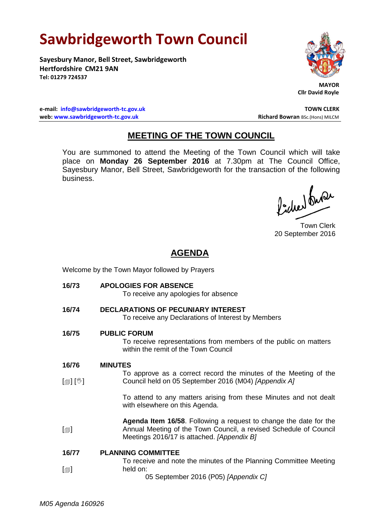## **Sawbridgeworth Town Council**

**Sayesbury Manor, Bell Street, Sawbridgeworth Hertfordshire CM21 9AN Tel: 01279 724537**



 **MAYOR Cllr David Royle**

**e-mail: [info@sawbridgeworth-tc.gov.uk](mailto:info@sawbridgeworth-tc.gov.uk) TOWN CLERK web: www.sawbridgeworth-tc.gov.uk Richard Bowran BSc.(Hons) MILCM Richard Bowran BSc.(Hons) MILCM** 

## **MEETING OF THE TOWN COUNCIL**

You are summoned to attend the Meeting of the Town Council which will take place on **Monday 26 September 2016** at 7.30pm at The Council Office, Sayesbury Manor, Bell Street, Sawbridgeworth for the transaction of the following business.

lacher buse

Town Clerk 20 September 2016

## **AGENDA**

Welcome by the Town Mayor followed by Prayers

**16/73 APOLOGIES FOR ABSENCE** To receive any apologies for absence **16/74 DECLARATIONS OF PECUNIARY INTEREST** To receive any Declarations of Interest by Members **16/75 PUBLIC FORUM** To receive representations from members of the public on matters within the remit of the Town Council **16/76**  $\lceil$  [ $\parallel$   $\parallel$   $\parallel$   $\parallel$   $\parallel$  $\Box$ **MINUTES** To approve as a correct record the minutes of the Meeting of the Council held on 05 September 2016 (M04) *[Appendix A]* To attend to any matters arising from these Minutes and not dealt with elsewhere on this Agenda. **Agenda Item 16/58**. Following a request to change the date for the Annual Meeting of the Town Council, a revised Schedule of Council Meetings 2016/17 is attached. *[Appendix B]* **16/77**  $\lceil$  $\blacksquare$ **PLANNING COMMITTEE** To receive and note the minutes of the Planning Committee Meeting held on: 05 September 2016 (P05) *[Appendix C]*